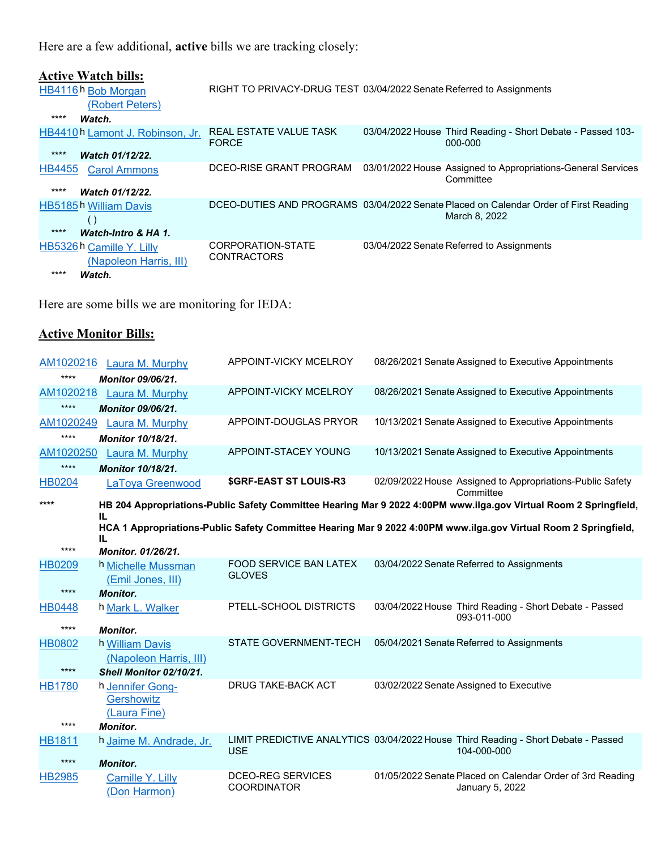Here are a few additional, **active** bills we are tracking closely:

| <b>Active Watch bills:</b><br>HB4116h Bob Morgan<br>(Robert Peters)<br>****<br>Watch. | RIGHT TO PRIVACY-DRUG TEST 03/04/2022 Senate Referred to Assignments |                                                                                                       |
|---------------------------------------------------------------------------------------|----------------------------------------------------------------------|-------------------------------------------------------------------------------------------------------|
| HB4410h Lamont J. Robinson, Jr.<br>****<br>Watch 01/12/22.                            | REAL ESTATE VALUE TASK<br><b>FORCE</b>                               | 03/04/2022 House Third Reading - Short Debate - Passed 103-<br>000-000                                |
| <b>HB4455</b><br><b>Carol Ammons</b><br>****<br>Watch 01/12/22.                       | DCEO-RISE GRANT PROGRAM                                              | 03/01/2022 House Assigned to Appropriations-General Services<br>Committee                             |
| HB5185h William Davis<br>$\left( \right)$<br>****<br>Watch-Intro & HA 1.              |                                                                      | DCEO-DUTIES AND PROGRAMS 03/04/2022 Senate Placed on Calendar Order of First Reading<br>March 8, 2022 |
| HB5326 h Camille Y. Lilly<br>(Napoleon Harris, III)<br>****<br>Watch.                 | CORPORATION-STATE<br><b>CONTRACTORS</b>                              | 03/04/2022 Senate Referred to Assignments                                                             |

Here are some bills we are monitoring for IEDA:

## **Active Monitor Bills:**

| AM1020216     | Laura M. Murphy                         | APPOINT-VICKY MCELROY                          | 08/26/2021 Senate Assigned to Executive Appointments                                                             |
|---------------|-----------------------------------------|------------------------------------------------|------------------------------------------------------------------------------------------------------------------|
| $***$         | <b>Monitor 09/06/21.</b>                |                                                |                                                                                                                  |
| AM1020218     | Laura M. Murphy                         | APPOINT-VICKY MCELROY                          | 08/26/2021 Senate Assigned to Executive Appointments                                                             |
| $***$         | <b>Monitor 09/06/21.</b>                |                                                |                                                                                                                  |
| AM1020249     | Laura M. Murphy                         | APPOINT-DOUGLAS PRYOR                          | 10/13/2021 Senate Assigned to Executive Appointments                                                             |
| $****$        | <b>Monitor 10/18/21.</b>                |                                                |                                                                                                                  |
| AM1020250     | Laura M. Murphy                         | APPOINT-STACEY YOUNG                           | 10/13/2021 Senate Assigned to Executive Appointments                                                             |
| $***$         | <b>Monitor 10/18/21.</b>                |                                                |                                                                                                                  |
| <b>HB0204</b> | LaToya Greenwood                        | <b>\$GRF-EAST ST LOUIS-R3</b>                  | 02/09/2022 House Assigned to Appropriations-Public Safety<br>Committee                                           |
| ****          | IL.                                     |                                                | HB 204 Appropriations-Public Safety Committee Hearing Mar 9 2022 4:00PM www.ilga.gov Virtual Room 2 Springfield, |
|               |                                         |                                                | HCA 1 Appropriations-Public Safety Committee Hearing Mar 9 2022 4:00PM www.ilga.gov Virtual Room 2 Springfield,  |
|               | IL                                      |                                                |                                                                                                                  |
| $****$        | <b>Monitor. 01/26/21.</b>               |                                                |                                                                                                                  |
| <b>HB0209</b> | h Michelle Mussman<br>(Emil Jones, III) | <b>FOOD SERVICE BAN LATEX</b><br><b>GLOVES</b> | 03/04/2022 Senate Referred to Assignments                                                                        |
| $****$        | <b>Monitor.</b>                         |                                                |                                                                                                                  |
| <b>HB0448</b> | h Mark L. Walker                        | PTELL-SCHOOL DISTRICTS                         | 03/04/2022 House Third Reading - Short Debate - Passed<br>093-011-000                                            |
| $***$         | <b>Monitor.</b>                         |                                                |                                                                                                                  |
| <b>HB0802</b> | h William Davis                         | <b>STATE GOVERNMENT-TECH</b>                   | 05/04/2021 Senate Referred to Assignments                                                                        |
|               | (Napoleon Harris, III)                  |                                                |                                                                                                                  |
| $****$        | Shell Monitor 02/10/21.                 |                                                |                                                                                                                  |
| <b>HB1780</b> | h Jennifer Gong-<br>Gershowitz          | <b>DRUG TAKE-BACK ACT</b>                      | 03/02/2022 Senate Assigned to Executive                                                                          |
|               | (Laura Fine)                            |                                                |                                                                                                                  |
| $***$         | <b>Monitor.</b>                         |                                                |                                                                                                                  |
| <b>HB1811</b> | h Jaime M. Andrade, Jr.                 | <b>USE</b>                                     | LIMIT PREDICTIVE ANALYTICS 03/04/2022 House Third Reading - Short Debate - Passed<br>104-000-000                 |
| $****$        | <b>Monitor.</b>                         |                                                |                                                                                                                  |
| <b>HB2985</b> | Camille Y. Lilly<br>(Don Harmon)        | DCEO-REG SERVICES<br><b>COORDINATOR</b>        | 01/05/2022 Senate Placed on Calendar Order of 3rd Reading<br>January 5, 2022                                     |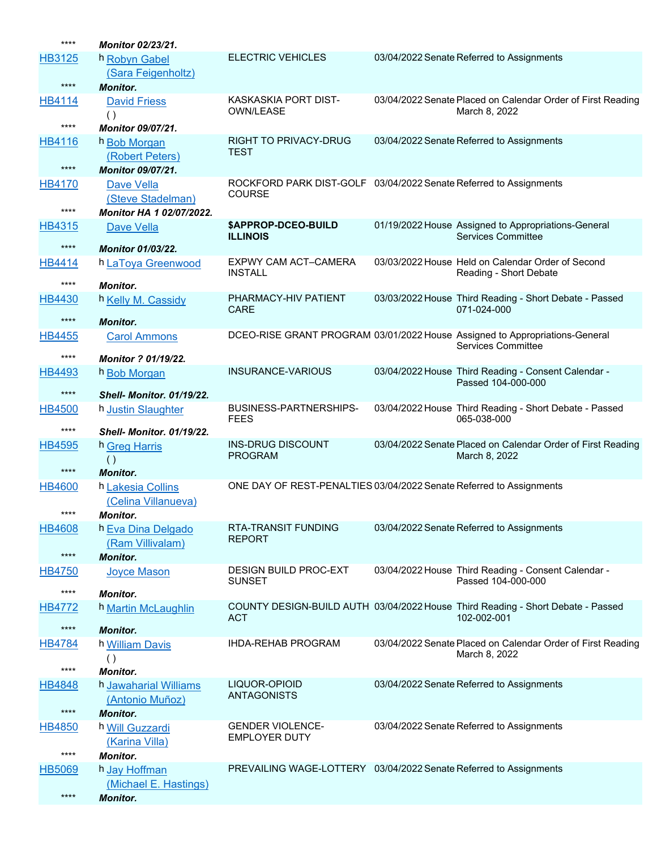| ****          | <b>Monitor 02/23/21.</b>                   |                                                                     |                                                                                 |
|---------------|--------------------------------------------|---------------------------------------------------------------------|---------------------------------------------------------------------------------|
| HB3125        | h Robyn Gabel                              | <b>ELECTRIC VEHICLES</b>                                            | 03/04/2022 Senate Referred to Assignments                                       |
|               | (Sara Feigenholtz)                         |                                                                     |                                                                                 |
| $****$        | <b>Monitor.</b>                            |                                                                     |                                                                                 |
| <b>HB4114</b> | <b>David Friess</b>                        | KASKASKIA PORT DIST-<br><b>OWN/LEASE</b>                            | 03/04/2022 Senate Placed on Calendar Order of First Reading<br>March 8, 2022    |
| ****          | <b>Monitor 09/07/21.</b>                   |                                                                     |                                                                                 |
| HB4116        | h Bob Morgan                               | <b>RIGHT TO PRIVACY-DRUG</b>                                        | 03/04/2022 Senate Referred to Assignments                                       |
|               | (Robert Peters)                            | TEST                                                                |                                                                                 |
| $****$        | <b>Monitor 09/07/21.</b>                   |                                                                     |                                                                                 |
| <b>HB4170</b> | <b>Dave Vella</b>                          | ROCKFORD PARK DIST-GOLF 03/04/2022 Senate Referred to Assignments   |                                                                                 |
|               | (Steve Stadelman)                          | <b>COURSE</b>                                                       |                                                                                 |
| ****          | Monitor HA 1 02/07/2022.                   |                                                                     |                                                                                 |
| <b>HB4315</b> | Dave Vella                                 | \$APPROP-DCEO-BUILD                                                 | 01/19/2022 House Assigned to Appropriations-General                             |
| ****          | <b>Monitor 01/03/22.</b>                   | <b>ILLINOIS</b>                                                     | <b>Services Committee</b>                                                       |
| HB4414        | h LaToya Greenwood                         | EXPWY CAM ACT-CAMERA                                                | 03/03/2022 House Held on Calendar Order of Second                               |
|               |                                            | <b>INSTALL</b>                                                      | Reading - Short Debate                                                          |
| ****          | <b>Monitor.</b>                            |                                                                     |                                                                                 |
| <b>HB4430</b> | h Kelly M. Cassidy                         | PHARMACY-HIV PATIENT<br><b>CARE</b>                                 | 03/03/2022 House Third Reading - Short Debate - Passed<br>071-024-000           |
| $****$        | <b>Monitor.</b>                            |                                                                     |                                                                                 |
| <b>HB4455</b> | <b>Carol Ammons</b>                        |                                                                     | DCEO-RISE GRANT PROGRAM 03/01/2022 House Assigned to Appropriations-General     |
| ****          |                                            |                                                                     | <b>Services Committee</b>                                                       |
| HB4493        | <b>Monitor ? 01/19/22.</b><br>h Bob Morgan | INSURANCE-VARIOUS                                                   | 03/04/2022 House Third Reading - Consent Calendar -                             |
|               |                                            |                                                                     | Passed 104-000-000                                                              |
| $****$        | <b>Shell- Monitor, 01/19/22.</b>           |                                                                     |                                                                                 |
| <b>HB4500</b> | h Justin Slaughter                         | <b>BUSINESS-PARTNERSHIPS-</b><br><b>FEES</b>                        | 03/04/2022 House Third Reading - Short Debate - Passed<br>065-038-000           |
|               |                                            |                                                                     |                                                                                 |
| ****          |                                            |                                                                     |                                                                                 |
| <b>HB4595</b> | <b>Shell- Monitor, 01/19/22.</b>           | <b>INS-DRUG DISCOUNT</b>                                            | 03/04/2022 Senate Placed on Calendar Order of First Reading                     |
|               | h Greg Harris<br>$\left( \ \right)$        | <b>PROGRAM</b>                                                      | March 8, 2022                                                                   |
| $****$        | <b>Monitor.</b>                            |                                                                     |                                                                                 |
| <b>HB4600</b> | h Lakesia Collins                          | ONE DAY OF REST-PENALTIES 03/04/2022 Senate Referred to Assignments |                                                                                 |
|               | (Celina Villanueva)                        |                                                                     |                                                                                 |
| $***$         | Monitor.                                   |                                                                     |                                                                                 |
| <b>HB4608</b> | h Eva Dina Delgado                         | RTA-TRANSIT FUNDING<br><b>REPORT</b>                                | 03/04/2022 Senate Referred to Assignments                                       |
| $***$         | (Ram Villivalam)                           |                                                                     |                                                                                 |
|               | <b>Monitor.</b>                            | <b>DESIGN BUILD PROC-EXT</b>                                        | 03/04/2022 House Third Reading - Consent Calendar -                             |
| <b>HB4750</b> | <b>Joyce Mason</b>                         | <b>SUNSET</b>                                                       | Passed 104-000-000                                                              |
| ****          | <b>Monitor.</b>                            |                                                                     |                                                                                 |
| <b>HB4772</b> | h Martin McLaughlin                        |                                                                     | COUNTY DESIGN-BUILD AUTH 03/04/2022 House Third Reading - Short Debate - Passed |
| $****$        | <b>Monitor.</b>                            | <b>ACT</b>                                                          | 102-002-001                                                                     |
| <b>HB4784</b> | h William Davis                            | <b>IHDA-REHAB PROGRAM</b>                                           | 03/04/2022 Senate Placed on Calendar Order of First Reading                     |
|               | $\left( \ \right)$                         |                                                                     | March 8, 2022                                                                   |
| ****          | <b>Monitor.</b>                            |                                                                     |                                                                                 |
| <b>HB4848</b> | h Jawaharial Williams                      | LIQUOR-OPIOID                                                       | 03/04/2022 Senate Referred to Assignments                                       |
|               | (Antonio Muñoz)                            | <b>ANTAGONISTS</b>                                                  |                                                                                 |
| $****$        | <b>Monitor.</b>                            |                                                                     |                                                                                 |
| <b>HB4850</b> | h Will Guzzardi                            | <b>GENDER VIOLENCE-</b><br><b>EMPLOYER DUTY</b>                     | 03/04/2022 Senate Referred to Assignments                                       |
| ****          | (Karina Villa)<br><b>Monitor.</b>          |                                                                     |                                                                                 |
| <b>HB5069</b> | h Jay Hoffman                              | PREVAILING WAGE-LOTTERY 03/04/2022 Senate Referred to Assignments   |                                                                                 |
|               | (Michael E. Hastings)                      |                                                                     |                                                                                 |